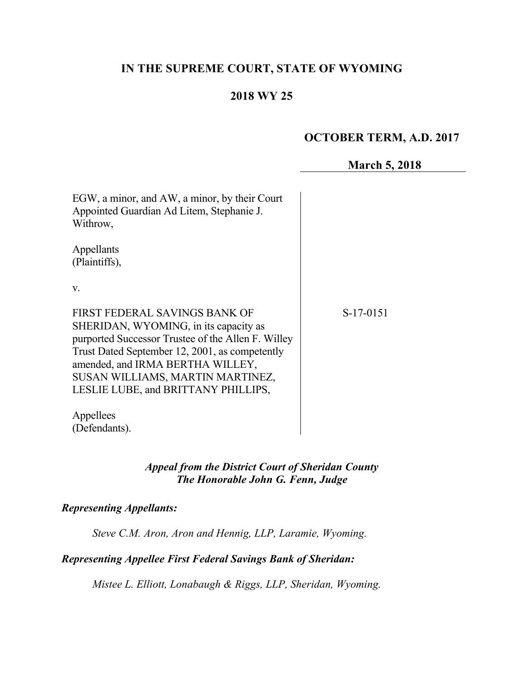# **IN THE SUPREME COURT, STATE OF WYOMING**

## **2018 WY 25**

## **OCTOBER TERM, A.D. 2017**

### **March 5, 2018**

| EGW, a minor, and AW, a minor, by their Court<br>Appointed Guardian Ad Litem, Stephanie J.<br>Withrow,                                                                                                                                                                                        |           |
|-----------------------------------------------------------------------------------------------------------------------------------------------------------------------------------------------------------------------------------------------------------------------------------------------|-----------|
| Appellants<br>(Plaintiffs),                                                                                                                                                                                                                                                                   |           |
| V.                                                                                                                                                                                                                                                                                            |           |
| FIRST FEDERAL SAVINGS BANK OF<br>SHERIDAN, WYOMING, in its capacity as<br>purported Successor Trustee of the Allen F. Willey<br>Trust Dated September 12, 2001, as competently<br>amended, and IRMA BERTHA WILLEY,<br>SUSAN WILLIAMS, MARTIN MARTINEZ,<br>LESLIE LUBE, and BRITTANY PHILLIPS, | S-17-0151 |
| Appellees<br>(Defendants).                                                                                                                                                                                                                                                                    |           |

## *Appeal from the District Court of Sheridan County The Honorable John G. Fenn, Judge*

### *Representing Appellants:*

*Steve C.M. Aron, Aron and Hennig, LLP, Laramie, Wyoming.*

#### *Representing Appellee First Federal Savings Bank of Sheridan:*

*Mistee L. Elliott, Lonabaugh & Riggs, LLP, Sheridan, Wyoming.*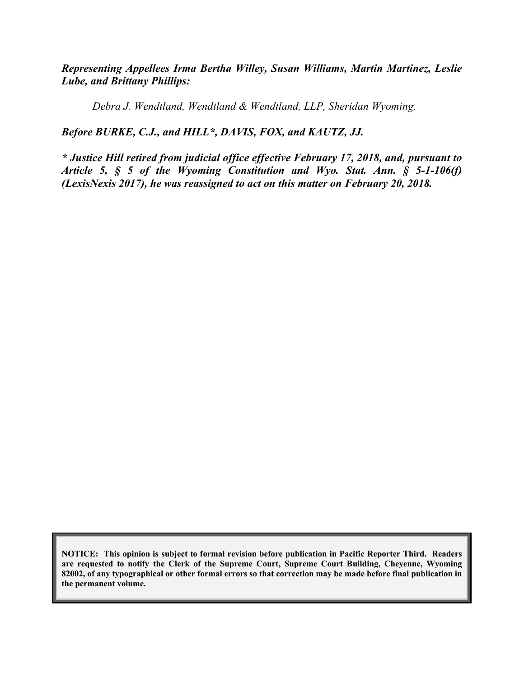*Representing Appellees Irma Bertha Willey, Susan Williams, Martin Martinez, Leslie Lube, and Brittany Phillips:*

*Debra J. Wendtland, Wendtland & Wendtland, LLP, Sheridan Wyoming.*

#### *Before BURKE, C.J., and HILL\*, DAVIS, FOX, and KAUTZ, JJ.*

*\* Justice Hill retired from judicial office effective February 17, 2018, and, pursuant to Article 5, § 5 of the Wyoming Constitution and Wyo. Stat. Ann. § 5-1-106(f) (LexisNexis 2017), he was reassigned to act on this matter on February 20, 2018.*

**NOTICE: This opinion is subject to formal revision before publication in Pacific Reporter Third. Readers are requested to notify the Clerk of the Supreme Court, Supreme Court Building, Cheyenne, Wyoming 82002, of any typographical or other formal errors so that correction may be made before final publication in the permanent volume.**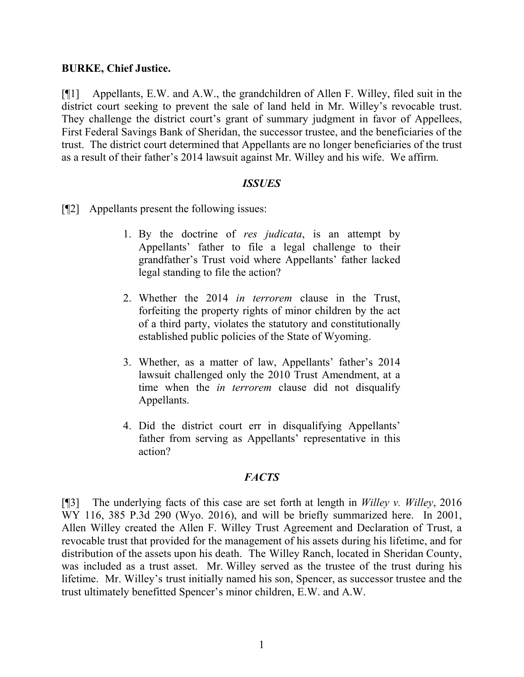#### **BURKE, Chief Justice.**

[¶1] Appellants, E.W. and A.W., the grandchildren of Allen F. Willey, filed suit in the district court seeking to prevent the sale of land held in Mr. Willey's revocable trust. They challenge the district court's grant of summary judgment in favor of Appellees, First Federal Savings Bank of Sheridan, the successor trustee, and the beneficiaries of the trust. The district court determined that Appellants are no longer beneficiaries of the trust as a result of their father's 2014 lawsuit against Mr. Willey and his wife. We affirm.

#### *ISSUES*

[¶2] Appellants present the following issues:

- 1. By the doctrine of *res judicata*, is an attempt by Appellants' father to file a legal challenge to their grandfather's Trust void where Appellants' father lacked legal standing to file the action?
- 2. Whether the 2014 *in terrorem* clause in the Trust, forfeiting the property rights of minor children by the act of a third party, violates the statutory and constitutionally established public policies of the State of Wyoming.
- 3. Whether, as a matter of law, Appellants' father's 2014 lawsuit challenged only the 2010 Trust Amendment, at a time when the *in terrorem* clause did not disqualify Appellants.
- 4. Did the district court err in disqualifying Appellants' father from serving as Appellants' representative in this action?

### *FACTS*

[¶3] The underlying facts of this case are set forth at length in *Willey v. Willey*, 2016 WY 116, 385 P.3d 290 (Wyo. 2016), and will be briefly summarized here. In 2001, Allen Willey created the Allen F. Willey Trust Agreement and Declaration of Trust, a revocable trust that provided for the management of his assets during his lifetime, and for distribution of the assets upon his death. The Willey Ranch, located in Sheridan County, was included as a trust asset. Mr. Willey served as the trustee of the trust during his lifetime. Mr. Willey's trust initially named his son, Spencer, as successor trustee and the trust ultimately benefitted Spencer's minor children, E.W. and A.W.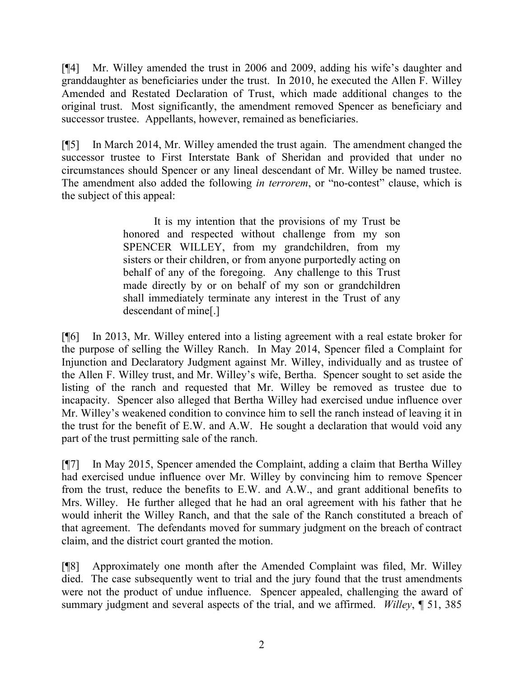[¶4] Mr. Willey amended the trust in 2006 and 2009, adding his wife's daughter and granddaughter as beneficiaries under the trust. In 2010, he executed the Allen F. Willey Amended and Restated Declaration of Trust, which made additional changes to the original trust. Most significantly, the amendment removed Spencer as beneficiary and successor trustee. Appellants, however, remained as beneficiaries.

[¶5] In March 2014, Mr. Willey amended the trust again. The amendment changed the successor trustee to First Interstate Bank of Sheridan and provided that under no circumstances should Spencer or any lineal descendant of Mr. Willey be named trustee. The amendment also added the following *in terrorem*, or "no-contest" clause, which is the subject of this appeal:

> It is my intention that the provisions of my Trust be honored and respected without challenge from my son SPENCER WILLEY, from my grandchildren, from my sisters or their children, or from anyone purportedly acting on behalf of any of the foregoing. Any challenge to this Trust made directly by or on behalf of my son or grandchildren shall immediately terminate any interest in the Trust of any descendant of mine[.]

[¶6] In 2013, Mr. Willey entered into a listing agreement with a real estate broker for the purpose of selling the Willey Ranch. In May 2014, Spencer filed a Complaint for Injunction and Declaratory Judgment against Mr. Willey, individually and as trustee of the Allen F. Willey trust, and Mr. Willey's wife, Bertha. Spencer sought to set aside the listing of the ranch and requested that Mr. Willey be removed as trustee due to incapacity. Spencer also alleged that Bertha Willey had exercised undue influence over Mr. Willey's weakened condition to convince him to sell the ranch instead of leaving it in the trust for the benefit of E.W. and A.W. He sought a declaration that would void any part of the trust permitting sale of the ranch.

[¶7] In May 2015, Spencer amended the Complaint, adding a claim that Bertha Willey had exercised undue influence over Mr. Willey by convincing him to remove Spencer from the trust, reduce the benefits to E.W. and A.W., and grant additional benefits to Mrs. Willey. He further alleged that he had an oral agreement with his father that he would inherit the Willey Ranch, and that the sale of the Ranch constituted a breach of that agreement. The defendants moved for summary judgment on the breach of contract claim, and the district court granted the motion.

[¶8] Approximately one month after the Amended Complaint was filed, Mr. Willey died. The case subsequently went to trial and the jury found that the trust amendments were not the product of undue influence. Spencer appealed, challenging the award of summary judgment and several aspects of the trial, and we affirmed. *Willey*, ¶ 51, 385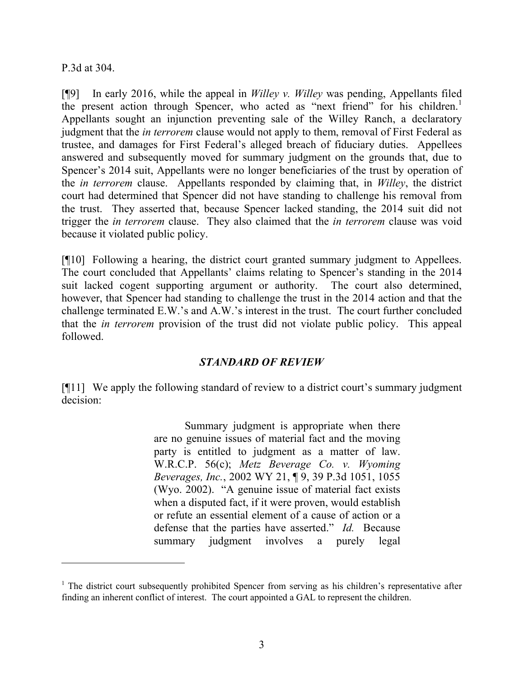P.3d at 304.

[¶9] In early 2016, while the appeal in *Willey v. Willey* was pending, Appellants filed the present action through Spencer, who acted as "next friend" for his children.<sup>1</sup> Appellants sought an injunction preventing sale of the Willey Ranch, a declaratory judgment that the *in terrorem* clause would not apply to them, removal of First Federal as trustee, and damages for First Federal's alleged breach of fiduciary duties. Appellees answered and subsequently moved for summary judgment on the grounds that, due to Spencer's 2014 suit, Appellants were no longer beneficiaries of the trust by operation of the *in terrorem* clause. Appellants responded by claiming that, in *Willey*, the district court had determined that Spencer did not have standing to challenge his removal from the trust. They asserted that, because Spencer lacked standing, the 2014 suit did not trigger the *in terrorem* clause. They also claimed that the *in terrorem* clause was void because it violated public policy.

[¶10] Following a hearing, the district court granted summary judgment to Appellees. The court concluded that Appellants' claims relating to Spencer's standing in the 2014 suit lacked cogent supporting argument or authority. The court also determined, however, that Spencer had standing to challenge the trust in the 2014 action and that the challenge terminated E.W.'s and A.W.'s interest in the trust. The court further concluded that the *in terrorem* provision of the trust did not violate public policy. This appeal followed.

### *STANDARD OF REVIEW*

[¶11] We apply the following standard of review to a district court's summary judgment decision:

> Summary judgment is appropriate when there are no genuine issues of material fact and the moving party is entitled to judgment as a matter of law. W.R.C.P. 56(c); *Metz Beverage Co. v. Wyoming Beverages, Inc.*, 2002 WY 21, ¶ 9, 39 P.3d 1051, 1055 (Wyo. 2002). "A genuine issue of material fact exists when a disputed fact, if it were proven, would establish or refute an essential element of a cause of action or a defense that the parties have asserted." *Id.* Because summary judgment involves a purely legal

 $1$ . The district court subsequently prohibited Spencer from serving as his children's representative after finding an inherent conflict of interest. The court appointed a GAL to represent the children.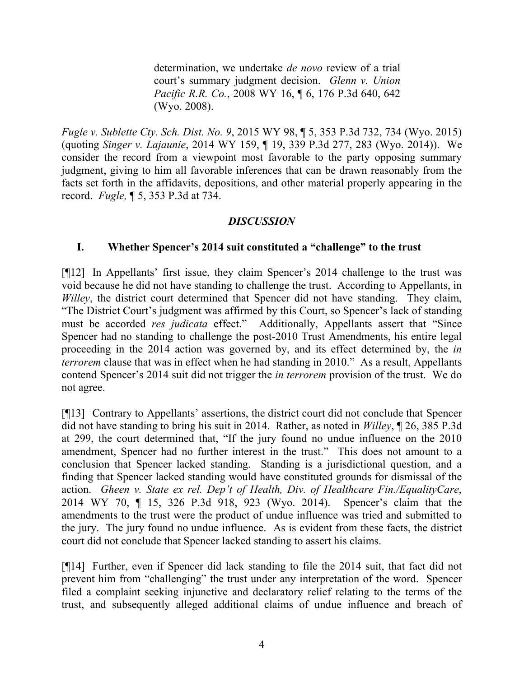determination, we undertake *de novo* review of a trial court's summary judgment decision. *Glenn v. Union Pacific R.R. Co.*, 2008 WY 16, ¶ 6, 176 P.3d 640, 642 (Wyo. 2008).

*Fugle v. Sublette Cty. Sch. Dist. No. 9*, 2015 WY 98, ¶ 5, 353 P.3d 732, 734 (Wyo. 2015) (quoting *Singer v. Lajaunie*, 2014 WY 159, ¶ 19, 339 P.3d 277, 283 (Wyo. 2014)). We consider the record from a viewpoint most favorable to the party opposing summary judgment, giving to him all favorable inferences that can be drawn reasonably from the facts set forth in the affidavits, depositions, and other material properly appearing in the record. *Fugle,* ¶ 5, 353 P.3d at 734.

## *DISCUSSION*

## **I. Whether Spencer's 2014 suit constituted a "challenge" to the trust**

[¶12] In Appellants' first issue, they claim Spencer's 2014 challenge to the trust was void because he did not have standing to challenge the trust. According to Appellants, in *Willey*, the district court determined that Spencer did not have standing. They claim, "The District Court's judgment was affirmed by this Court, so Spencer's lack of standing must be accorded *res judicata* effect." Additionally, Appellants assert that "Since Spencer had no standing to challenge the post-2010 Trust Amendments, his entire legal proceeding in the 2014 action was governed by, and its effect determined by, the *in terrorem* clause that was in effect when he had standing in 2010." As a result, Appellants contend Spencer's 2014 suit did not trigger the *in terrorem* provision of the trust. We do not agree.

[¶13] Contrary to Appellants' assertions, the district court did not conclude that Spencer did not have standing to bring his suit in 2014. Rather, as noted in *Willey*, ¶ 26, 385 P.3d at 299, the court determined that, "If the jury found no undue influence on the 2010 amendment, Spencer had no further interest in the trust." This does not amount to a conclusion that Spencer lacked standing. Standing is a jurisdictional question, and a finding that Spencer lacked standing would have constituted grounds for dismissal of the action. *Gheen v. State ex rel. Dep't of Health, Div. of Healthcare Fin./EqualityCare*, 2014 WY 70, ¶ 15, 326 P.3d 918, 923 (Wyo. 2014). Spencer's claim that the amendments to the trust were the product of undue influence was tried and submitted to the jury. The jury found no undue influence. As is evident from these facts, the district court did not conclude that Spencer lacked standing to assert his claims.

[¶14] Further, even if Spencer did lack standing to file the 2014 suit, that fact did not prevent him from "challenging" the trust under any interpretation of the word. Spencer filed a complaint seeking injunctive and declaratory relief relating to the terms of the trust, and subsequently alleged additional claims of undue influence and breach of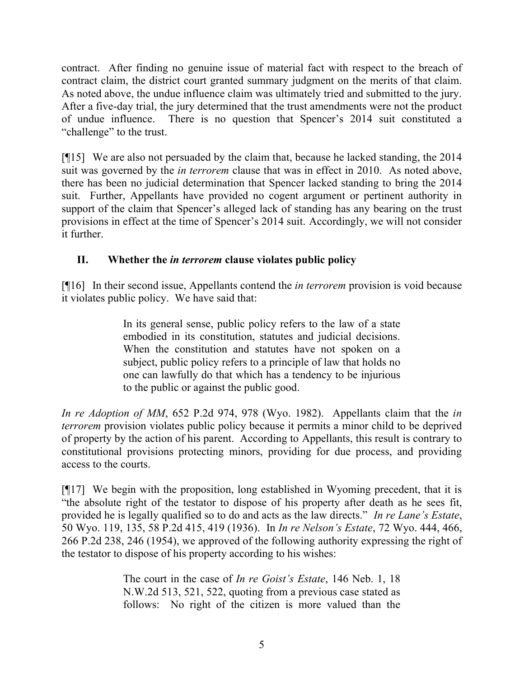contract. After finding no genuine issue of material fact with respect to the breach of contract claim, the district court granted summary judgment on the merits of that claim. As noted above, the undue influence claim was ultimately tried and submitted to the jury. After a five-day trial, the jury determined that the trust amendments were not the product of undue influence. There is no question that Spencer's 2014 suit constituted a "challenge" to the trust.

[¶15] We are also not persuaded by the claim that, because he lacked standing, the 2014 suit was governed by the *in terrorem* clause that was in effect in 2010. As noted above, there has been no judicial determination that Spencer lacked standing to bring the 2014 suit. Further, Appellants have provided no cogent argument or pertinent authority in support of the claim that Spencer's alleged lack of standing has any bearing on the trust provisions in effect at the time of Spencer's 2014 suit. Accordingly, we will not consider it further.

## **II. Whether the** *in terrorem* **clause violates public policy**

[¶16] In their second issue, Appellants contend the *in terrorem* provision is void because it violates public policy. We have said that:

> In its general sense, public policy refers to the law of a state embodied in its constitution, statutes and judicial decisions. When the constitution and statutes have not spoken on a subject, public policy refers to a principle of law that holds no one can lawfully do that which has a tendency to be injurious to the public or against the public good.

*In re Adoption of MM*, 652 P.2d 974, 978 (Wyo. 1982). Appellants claim that the *in terrorem* provision violates public policy because it permits a minor child to be deprived of property by the action of his parent. According to Appellants, this result is contrary to constitutional provisions protecting minors, providing for due process, and providing access to the courts.

[¶17] We begin with the proposition, long established in Wyoming precedent, that it is "the absolute right of the testator to dispose of his property after death as he sees fit, provided he is legally qualified so to do and acts as the law directs." *In re Lane's Estate*, 50 Wyo. 119, 135, 58 P.2d 415, 419 (1936). In *In re Nelson's Estate*, 72 Wyo. 444, 466, 266 P.2d 238, 246 (1954), we approved of the following authority expressing the right of the testator to dispose of his property according to his wishes:

> The court in the case of *In re Goist's Estate*, 146 Neb. 1, 18 N.W.2d 513, 521, 522, quoting from a previous case stated as follows: No right of the citizen is more valued than the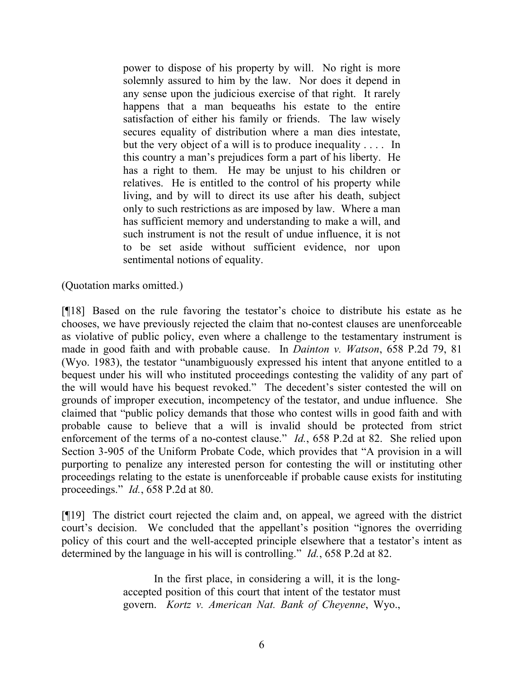power to dispose of his property by will. No right is more solemnly assured to him by the law. Nor does it depend in any sense upon the judicious exercise of that right. It rarely happens that a man bequeaths his estate to the entire satisfaction of either his family or friends. The law wisely secures equality of distribution where a man dies intestate, but the very object of a will is to produce inequality . . . . In this country a man's prejudices form a part of his liberty. He has a right to them. He may be unjust to his children or relatives. He is entitled to the control of his property while living, and by will to direct its use after his death, subject only to such restrictions as are imposed by law. Where a man has sufficient memory and understanding to make a will, and such instrument is not the result of undue influence, it is not to be set aside without sufficient evidence, nor upon sentimental notions of equality.

(Quotation marks omitted.)

[¶18] Based on the rule favoring the testator's choice to distribute his estate as he chooses, we have previously rejected the claim that no-contest clauses are unenforceable as violative of public policy, even where a challenge to the testamentary instrument is made in good faith and with probable cause. In *Dainton v. Watson*, 658 P.2d 79, 81 (Wyo. 1983), the testator "unambiguously expressed his intent that anyone entitled to a bequest under his will who instituted proceedings contesting the validity of any part of the will would have his bequest revoked." The decedent's sister contested the will on grounds of improper execution, incompetency of the testator, and undue influence. She claimed that "public policy demands that those who contest wills in good faith and with probable cause to believe that a will is invalid should be protected from strict enforcement of the terms of a no-contest clause." *Id.*, 658 P.2d at 82. She relied upon Section 3-905 of the Uniform Probate Code, which provides that "A provision in a will purporting to penalize any interested person for contesting the will or instituting other proceedings relating to the estate is unenforceable if probable cause exists for instituting proceedings." *Id.*, 658 P.2d at 80.

[¶19] The district court rejected the claim and, on appeal, we agreed with the district court's decision. We concluded that the appellant's position "ignores the overriding policy of this court and the well-accepted principle elsewhere that a testator's intent as determined by the language in his will is controlling." *Id.*, 658 P.2d at 82.

> In the first place, in considering a will, it is the longaccepted position of this court that intent of the testator must govern. *Kortz v. American Nat. Bank of Cheyenne*, Wyo.,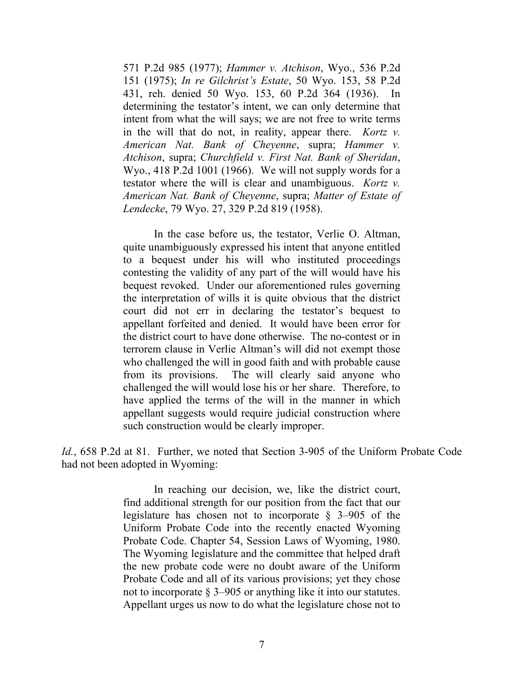571 P.2d 985 (1977); *Hammer v. Atchison*, Wyo., 536 P.2d 151 (1975); *In re Gilchrist's Estate*, 50 Wyo. 153, 58 P.2d 431, reh. denied 50 Wyo. 153, 60 P.2d 364 (1936). In determining the testator's intent, we can only determine that intent from what the will says; we are not free to write terms in the will that do not, in reality, appear there. *Kortz v. American Nat. Bank of Cheyenne*, supra; *Hammer v. Atchison*, supra; *Churchfield v. First Nat. Bank of Sheridan*, Wyo., 418 P.2d 1001 (1966). We will not supply words for a testator where the will is clear and unambiguous. *Kortz v. American Nat. Bank of Cheyenne*, supra; *Matter of Estate of Lendecke*, 79 Wyo. 27, 329 P.2d 819 (1958).

In the case before us, the testator, Verlie O. Altman, quite unambiguously expressed his intent that anyone entitled to a bequest under his will who instituted proceedings contesting the validity of any part of the will would have his bequest revoked. Under our aforementioned rules governing the interpretation of wills it is quite obvious that the district court did not err in declaring the testator's bequest to appellant forfeited and denied. It would have been error for the district court to have done otherwise. The no-contest or in terrorem clause in Verlie Altman's will did not exempt those who challenged the will in good faith and with probable cause from its provisions. The will clearly said anyone who challenged the will would lose his or her share. Therefore, to have applied the terms of the will in the manner in which appellant suggests would require judicial construction where such construction would be clearly improper.

*Id.*, 658 P.2d at 81. Further, we noted that Section 3-905 of the Uniform Probate Code had not been adopted in Wyoming:

> In reaching our decision, we, like the district court, find additional strength for our position from the fact that our legislature has chosen not to incorporate § 3–905 of the Uniform Probate Code into the recently enacted Wyoming Probate Code. Chapter 54, Session Laws of Wyoming, 1980. The Wyoming legislature and the committee that helped draft the new probate code were no doubt aware of the Uniform Probate Code and all of its various provisions; yet they chose not to incorporate § 3–905 or anything like it into our statutes. Appellant urges us now to do what the legislature chose not to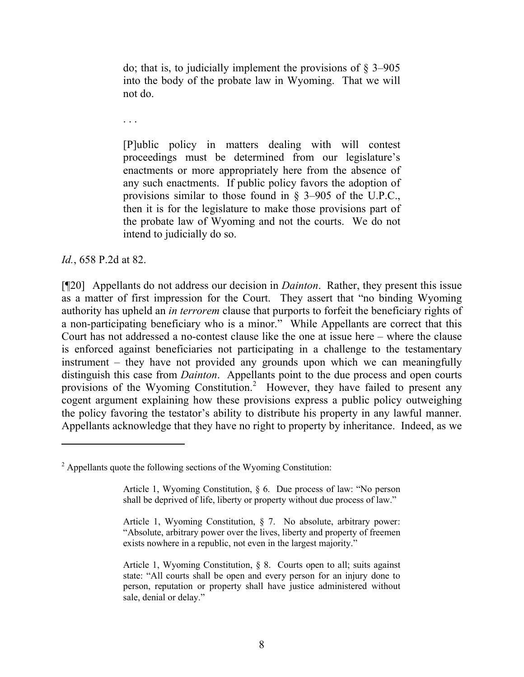do; that is, to judicially implement the provisions of  $\S$  3–905 into the body of the probate law in Wyoming. That we will not do.

. . .

[P]ublic policy in matters dealing with will contest proceedings must be determined from our legislature's enactments or more appropriately here from the absence of any such enactments. If public policy favors the adoption of provisions similar to those found in § 3–905 of the U.P.C., then it is for the legislature to make those provisions part of the probate law of Wyoming and not the courts. We do not intend to judicially do so.

*Id.*, 658 P.2d at 82.

[¶20] Appellants do not address our decision in *Dainton*. Rather, they present this issue as a matter of first impression for the Court. They assert that "no binding Wyoming authority has upheld an *in terrorem* clause that purports to forfeit the beneficiary rights of a non-participating beneficiary who is a minor." While Appellants are correct that this Court has not addressed a no-contest clause like the one at issue here – where the clause is enforced against beneficiaries not participating in a challenge to the testamentary instrument – they have not provided any grounds upon which we can meaningfully distinguish this case from *Dainton*. Appellants point to the due process and open courts provisions of the Wyoming Constitution.<sup>2</sup> However, they have failed to present any cogent argument explaining how these provisions express a public policy outweighing the policy favoring the testator's ability to distribute his property in any lawful manner. Appellants acknowledge that they have no right to property by inheritance. Indeed, as we

<sup>2</sup> Appellants quote the following sections of the Wyoming Constitution:

Article 1, Wyoming Constitution, § 6. Due process of law: "No person shall be deprived of life, liberty or property without due process of law."

Article 1, Wyoming Constitution, § 7. No absolute, arbitrary power: "Absolute, arbitrary power over the lives, liberty and property of freemen exists nowhere in a republic, not even in the largest majority."

Article 1, Wyoming Constitution, § 8. Courts open to all; suits against state: "All courts shall be open and every person for an injury done to person, reputation or property shall have justice administered without sale, denial or delay."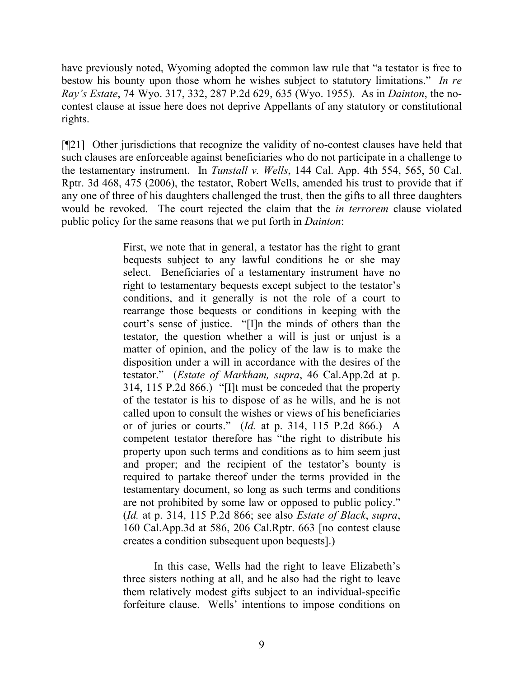have previously noted, Wyoming adopted the common law rule that "a testator is free to bestow his bounty upon those whom he wishes subject to statutory limitations." *In re Ray's Estate*, 74 Wyo. 317, 332, 287 P.2d 629, 635 (Wyo. 1955). As in *Dainton*, the nocontest clause at issue here does not deprive Appellants of any statutory or constitutional rights.

[¶21] Other jurisdictions that recognize the validity of no-contest clauses have held that such clauses are enforceable against beneficiaries who do not participate in a challenge to the testamentary instrument. In *Tunstall v. Wells*, 144 Cal. App. 4th 554, 565, 50 Cal. Rptr. 3d 468, 475 (2006), the testator, Robert Wells, amended his trust to provide that if any one of three of his daughters challenged the trust, then the gifts to all three daughters would be revoked. The court rejected the claim that the *in terrorem* clause violated public policy for the same reasons that we put forth in *Dainton*:

> First, we note that in general, a testator has the right to grant bequests subject to any lawful conditions he or she may select. Beneficiaries of a testamentary instrument have no right to testamentary bequests except subject to the testator's conditions, and it generally is not the role of a court to rearrange those bequests or conditions in keeping with the court's sense of justice. "[I]n the minds of others than the testator, the question whether a will is just or unjust is a matter of opinion, and the policy of the law is to make the disposition under a will in accordance with the desires of the testator." (*Estate of Markham, supra*, 46 Cal.App.2d at p. 314, 115 P.2d 866.) "[I]t must be conceded that the property of the testator is his to dispose of as he wills, and he is not called upon to consult the wishes or views of his beneficiaries or of juries or courts." (*Id.* at p. 314, 115 P.2d 866.) A competent testator therefore has "the right to distribute his property upon such terms and conditions as to him seem just and proper; and the recipient of the testator's bounty is required to partake thereof under the terms provided in the testamentary document, so long as such terms and conditions are not prohibited by some law or opposed to public policy." (*Id.* at p. 314, 115 P.2d 866; see also *Estate of Black*, *supra*, 160 Cal.App.3d at 586, 206 Cal.Rptr. 663 [no contest clause creates a condition subsequent upon bequests].)

In this case, Wells had the right to leave Elizabeth's three sisters nothing at all, and he also had the right to leave them relatively modest gifts subject to an individual-specific forfeiture clause. Wells' intentions to impose conditions on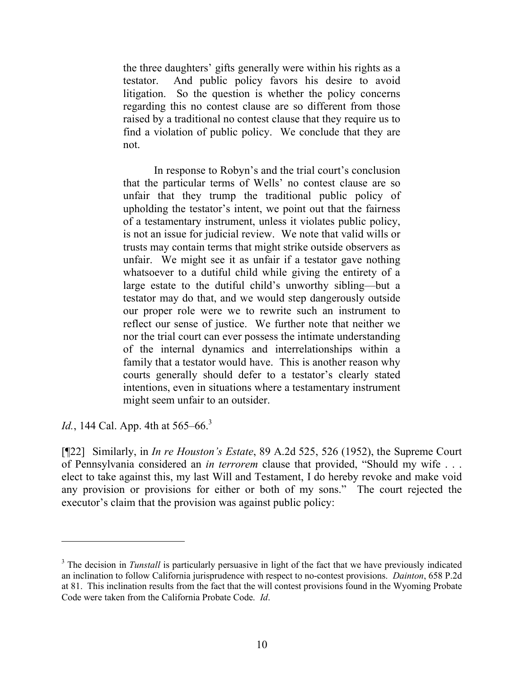the three daughters' gifts generally were within his rights as a testator. And public policy favors his desire to avoid litigation. So the question is whether the policy concerns regarding this no contest clause are so different from those raised by a traditional no contest clause that they require us to find a violation of public policy. We conclude that they are not.

In response to Robyn's and the trial court's conclusion that the particular terms of Wells' no contest clause are so unfair that they trump the traditional public policy of upholding the testator's intent, we point out that the fairness of a testamentary instrument, unless it violates public policy, is not an issue for judicial review. We note that valid wills or trusts may contain terms that might strike outside observers as unfair. We might see it as unfair if a testator gave nothing whatsoever to a dutiful child while giving the entirety of a large estate to the dutiful child's unworthy sibling—but a testator may do that, and we would step dangerously outside our proper role were we to rewrite such an instrument to reflect our sense of justice. We further note that neither we nor the trial court can ever possess the intimate understanding of the internal dynamics and interrelationships within a family that a testator would have. This is another reason why courts generally should defer to a testator's clearly stated intentions, even in situations where a testamentary instrument might seem unfair to an outsider.

*Id.*, 144 Cal. App. 4th at 565–66.<sup>3</sup>

 $\overline{a}$ 

[¶22] Similarly, in *In re Houston's Estate*, 89 A.2d 525, 526 (1952), the Supreme Court of Pennsylvania considered an *in terrorem* clause that provided, "Should my wife . . . elect to take against this, my last Will and Testament, I do hereby revoke and make void any provision or provisions for either or both of my sons." The court rejected the executor's claim that the provision was against public policy:

<sup>&</sup>lt;sup>3</sup> The decision in *Tunstall* is particularly persuasive in light of the fact that we have previously indicated an inclination to follow California jurisprudence with respect to no-contest provisions. *Dainton*, 658 P.2d at 81. This inclination results from the fact that the will contest provisions found in the Wyoming Probate Code were taken from the California Probate Code. *Id*.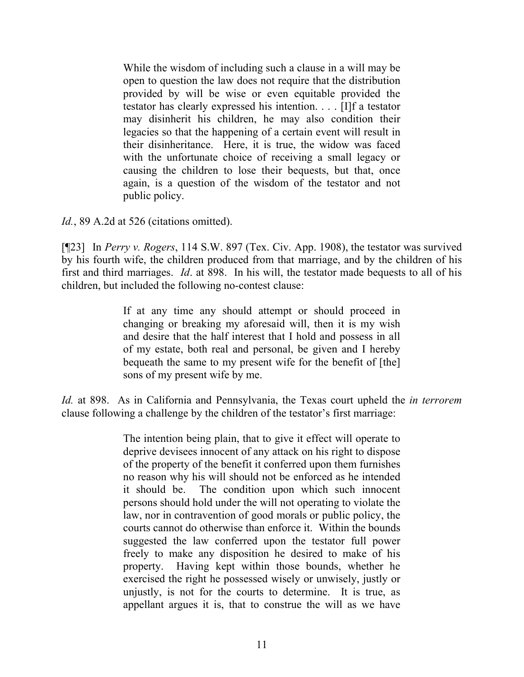While the wisdom of including such a clause in a will may be open to question the law does not require that the distribution provided by will be wise or even equitable provided the testator has clearly expressed his intention. . . . [I]f a testator may disinherit his children, he may also condition their legacies so that the happening of a certain event will result in their disinheritance. Here, it is true, the widow was faced with the unfortunate choice of receiving a small legacy or causing the children to lose their bequests, but that, once again, is a question of the wisdom of the testator and not public policy.

*Id.*, 89 A.2d at 526 (citations omitted).

[¶23] In *Perry v. Rogers*, 114 S.W. 897 (Tex. Civ. App. 1908), the testator was survived by his fourth wife, the children produced from that marriage, and by the children of his first and third marriages. *Id*. at 898. In his will, the testator made bequests to all of his children, but included the following no-contest clause:

> If at any time any should attempt or should proceed in changing or breaking my aforesaid will, then it is my wish and desire that the half interest that I hold and possess in all of my estate, both real and personal, be given and I hereby bequeath the same to my present wife for the benefit of [the] sons of my present wife by me.

*Id.* at 898. As in California and Pennsylvania, the Texas court upheld the *in terrorem*  clause following a challenge by the children of the testator's first marriage:

> The intention being plain, that to give it effect will operate to deprive devisees innocent of any attack on his right to dispose of the property of the benefit it conferred upon them furnishes no reason why his will should not be enforced as he intended it should be. The condition upon which such innocent persons should hold under the will not operating to violate the law, nor in contravention of good morals or public policy, the courts cannot do otherwise than enforce it. Within the bounds suggested the law conferred upon the testator full power freely to make any disposition he desired to make of his property. Having kept within those bounds, whether he exercised the right he possessed wisely or unwisely, justly or unjustly, is not for the courts to determine. It is true, as appellant argues it is, that to construe the will as we have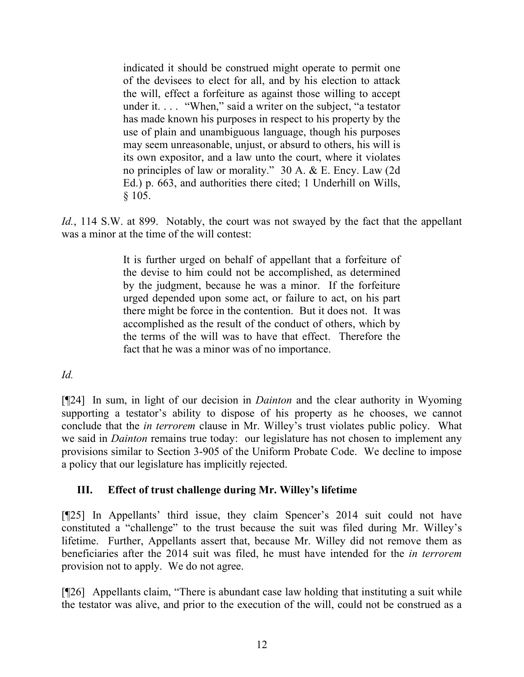indicated it should be construed might operate to permit one of the devisees to elect for all, and by his election to attack the will, effect a forfeiture as against those willing to accept under it. . . . "When," said a writer on the subject, "a testator has made known his purposes in respect to his property by the use of plain and unambiguous language, though his purposes may seem unreasonable, unjust, or absurd to others, his will is its own expositor, and a law unto the court, where it violates no principles of law or morality." 30 A. & E. Ency. Law (2d Ed.) p. 663, and authorities there cited; 1 Underhill on Wills,  $§ 105.$ 

Id., 114 S.W. at 899. Notably, the court was not swayed by the fact that the appellant was a minor at the time of the will contest:

> It is further urged on behalf of appellant that a forfeiture of the devise to him could not be accomplished, as determined by the judgment, because he was a minor. If the forfeiture urged depended upon some act, or failure to act, on his part there might be force in the contention. But it does not. It was accomplished as the result of the conduct of others, which by the terms of the will was to have that effect. Therefore the fact that he was a minor was of no importance.

*Id.*

[¶24] In sum, in light of our decision in *Dainton* and the clear authority in Wyoming supporting a testator's ability to dispose of his property as he chooses, we cannot conclude that the *in terrorem* clause in Mr. Willey's trust violates public policy. What we said in *Dainton* remains true today: our legislature has not chosen to implement any provisions similar to Section 3-905 of the Uniform Probate Code. We decline to impose a policy that our legislature has implicitly rejected.

# **III. Effect of trust challenge during Mr. Willey's lifetime**

[¶25] In Appellants' third issue, they claim Spencer's 2014 suit could not have constituted a "challenge" to the trust because the suit was filed during Mr. Willey's lifetime. Further, Appellants assert that, because Mr. Willey did not remove them as beneficiaries after the 2014 suit was filed, he must have intended for the *in terrorem* provision not to apply. We do not agree.

[¶26] Appellants claim, "There is abundant case law holding that instituting a suit while the testator was alive, and prior to the execution of the will, could not be construed as a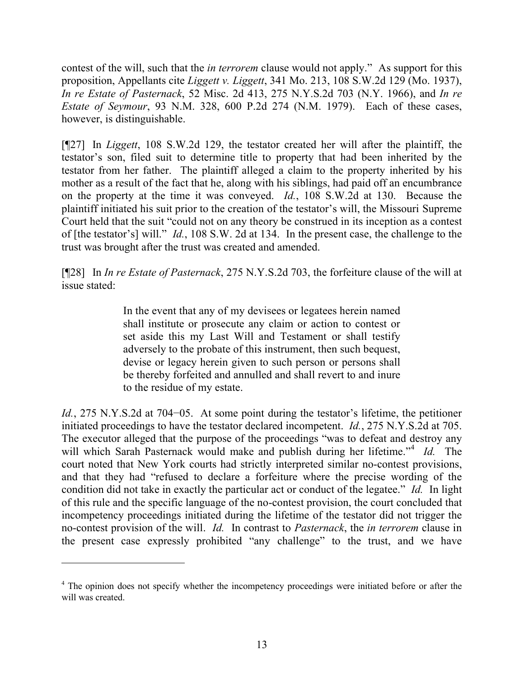contest of the will, such that the *in terrorem* clause would not apply." As support for this proposition, Appellants cite *Liggett v. Liggett*, 341 Mo. 213, 108 S.W.2d 129 (Mo. 1937), *In re Estate of Pasternack*, 52 Misc. 2d 413, 275 N.Y.S.2d 703 (N.Y. 1966), and *In re Estate of Seymour*, 93 N.M. 328, 600 P.2d 274 (N.M. 1979). Each of these cases, however, is distinguishable.

[¶27] In *Liggett*, 108 S.W.2d 129, the testator created her will after the plaintiff, the testator's son, filed suit to determine title to property that had been inherited by the testator from her father. The plaintiff alleged a claim to the property inherited by his mother as a result of the fact that he, along with his siblings, had paid off an encumbrance on the property at the time it was conveyed. *Id.*, 108 S.W.2d at 130. Because the plaintiff initiated his suit prior to the creation of the testator's will, the Missouri Supreme Court held that the suit "could not on any theory be construed in its inception as a contest of [the testator's] will." *Id.*, 108 S.W. 2d at 134. In the present case, the challenge to the trust was brought after the trust was created and amended.

[¶28] In *In re Estate of Pasternack*, 275 N.Y.S.2d 703, the forfeiture clause of the will at issue stated:

> In the event that any of my devisees or legatees herein named shall institute or prosecute any claim or action to contest or set aside this my Last Will and Testament or shall testify adversely to the probate of this instrument, then such bequest, devise or legacy herein given to such person or persons shall be thereby forfeited and annulled and shall revert to and inure to the residue of my estate.

*Id.*, 275 N.Y.S.2d at 704–05. At some point during the testator's lifetime, the petitioner initiated proceedings to have the testator declared incompetent. *Id.*, 275 N.Y.S.2d at 705. The executor alleged that the purpose of the proceedings "was to defeat and destroy any will which Sarah Pasternack would make and publish during her lifetime."<sup>4</sup> Id. The court noted that New York courts had strictly interpreted similar no-contest provisions, and that they had "refused to declare a forfeiture where the precise wording of the condition did not take in exactly the particular act or conduct of the legatee." *Id.* In light of this rule and the specific language of the no-contest provision, the court concluded that incompetency proceedings initiated during the lifetime of the testator did not trigger the no-contest provision of the will. *Id.* In contrast to *Pasternack*, the *in terrorem* clause in the present case expressly prohibited "any challenge" to the trust, and we have

<sup>&</sup>lt;sup>4</sup> The opinion does not specify whether the incompetency proceedings were initiated before or after the will was created.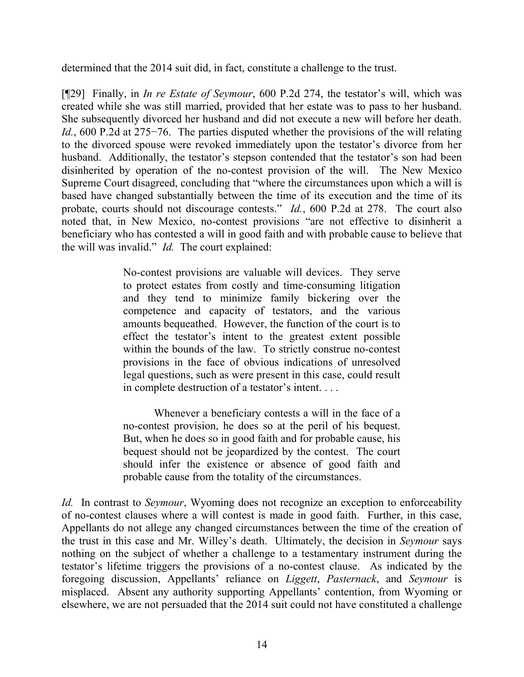determined that the 2014 suit did, in fact, constitute a challenge to the trust.

[¶29] Finally, in *In re Estate of Seymour*, 600 P.2d 274, the testator's will, which was created while she was still married, provided that her estate was to pass to her husband. She subsequently divorced her husband and did not execute a new will before her death. *Id.*, 600 P.2d at 275−76. The parties disputed whether the provisions of the will relating to the divorced spouse were revoked immediately upon the testator's divorce from her husband. Additionally, the testator's stepson contended that the testator's son had been disinherited by operation of the no-contest provision of the will. The New Mexico Supreme Court disagreed, concluding that "where the circumstances upon which a will is based have changed substantially between the time of its execution and the time of its probate, courts should not discourage contests." *Id.*, 600 P.2d at 278. The court also noted that, in New Mexico, no-contest provisions "are not effective to disinherit a beneficiary who has contested a will in good faith and with probable cause to believe that the will was invalid." *Id.* The court explained:

> No-contest provisions are valuable will devices. They serve to protect estates from costly and time-consuming litigation and they tend to minimize family bickering over the competence and capacity of testators, and the various amounts bequeathed. However, the function of the court is to effect the testator's intent to the greatest extent possible within the bounds of the law. To strictly construe no-contest provisions in the face of obvious indications of unresolved legal questions, such as were present in this case, could result in complete destruction of a testator's intent. . . .

> Whenever a beneficiary contests a will in the face of a no-contest provision, he does so at the peril of his bequest. But, when he does so in good faith and for probable cause, his bequest should not be jeopardized by the contest. The court should infer the existence or absence of good faith and probable cause from the totality of the circumstances.

*Id.* In contrast to *Seymour*, Wyoming does not recognize an exception to enforceability of no-contest clauses where a will contest is made in good faith. Further, in this case, Appellants do not allege any changed circumstances between the time of the creation of the trust in this case and Mr. Willey's death. Ultimately, the decision in *Seymour* says nothing on the subject of whether a challenge to a testamentary instrument during the testator's lifetime triggers the provisions of a no-contest clause. As indicated by the foregoing discussion, Appellants' reliance on *Liggett*, *Pasternack*, and *Seymour* is misplaced. Absent any authority supporting Appellants' contention, from Wyoming or elsewhere, we are not persuaded that the 2014 suit could not have constituted a challenge